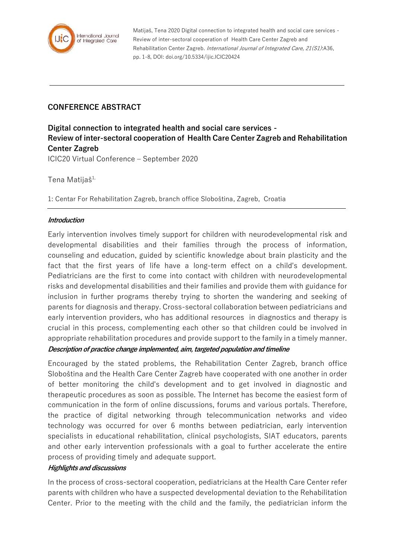

Matijaš, Tena 2020 Digital connection to integrated health and social care services - Review of inter-sectoral cooperation of Health Care Center Zagreb and Rehabilitation Center Zagreb. International Journal of Integrated Care, 21(S1):A36, pp. 1-8, DOI: doi.org/10.5334/ijic.ICIC20424

# **CONFERENCE ABSTRACT**

**Digital connection to integrated health and social care services - Review of inter-sectoral cooperation of Health Care Center Zagreb and Rehabilitation Center Zagreb** ICIC20 Virtual Conference – September 2020

Tena Matijaš<sup>1,</sup>

1: Centar For Rehabilitation Zagreb, branch office Sloboština, Zagreb, Croatia

## **Introduction**

Early intervention involves timely support for children with neurodevelopmental risk and developmental disabilities and their families through the process of information, counseling and education, guided by scientific knowledge about brain plasticity and the fact that the first years of life have a long-term effect on a child's development. Pediatricians are the first to come into contact with children with neurodevelopmental risks and developmental disabilities and their families and provide them with guidance for inclusion in further programs thereby trying to shorten the wandering and seeking of parents for diagnosis and therapy. Cross-sectoral collaboration between pediatricians and early intervention providers, who has additional resources in diagnostics and therapy is crucial in this process, complementing each other so that children could be involved in appropriate rehabilitation procedures and provide support to the family in a timely manner.

### **Description of practice change implemented, aim, targeted population and timeline**

Encouraged by the stated problems, the Rehabilitation Center Zagreb, branch office Sloboština and the Health Care Center Zagreb have cooperated with one another in order of better monitoring the child's development and to get involved in diagnostic and therapeutic procedures as soon as possible. The Internet has become the easiest form of communication in the form of online discussions, forums and various portals. Therefore, the practice of digital networking through telecommunication networks and video technology was occurred for over 6 months between pediatrician, early intervention specialists in educational rehabilitation, clinical psychologists, SIAT educators, parents and other early intervention professionals with a goal to further accelerate the entire process of providing timely and adequate support.

### **Highlights and discussions**

In the process of cross-sectoral cooperation, pediatricians at the Health Care Center refer parents with children who have a suspected developmental deviation to the Rehabilitation Center. Prior to the meeting with the child and the family, the pediatrician inform the